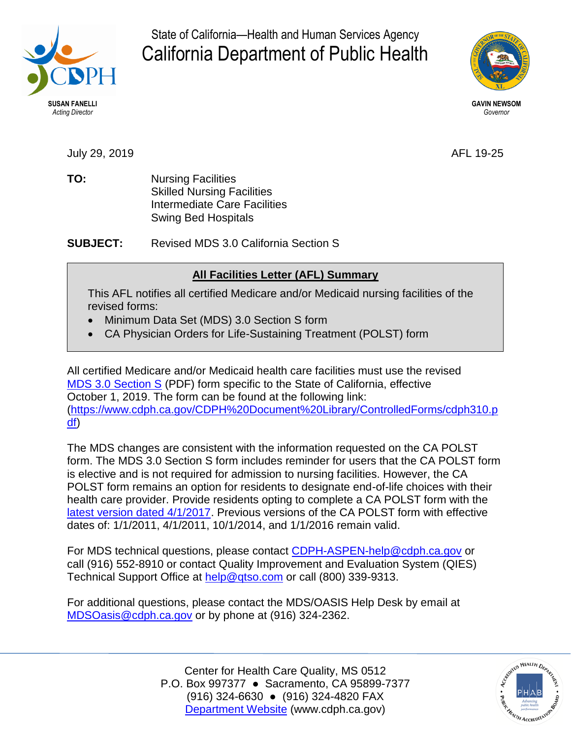

State of California—Health and Human Services Agency California Department of Public Health



July 29, 2019 AFL 19-25

**TO:** Nursing Facilities Skilled Nursing Facilities Intermediate Care Facilities Swing Bed Hospitals

**SUBJECT:** Revised MDS 3.0 California Section S

## **All Facilities Letter (AFL) Summary**

This AFL notifies all certified Medicare and/or Medicaid nursing facilities of the revised forms:

- Minimum Data Set (MDS) 3.0 Section S form
- CA Physician Orders for Life-Sustaining Treatment (POLST) form

All certified Medicare and/or Medicaid health care facilities must use the revised [MDS 3.0 Section S](https://www.cdph.ca.gov/CDPH%20Document%20Library/ControlledForms/cdph310.pdf) (PDF) form specific to the State of California, effective October 1, 2019. The form can be found at the following link: [\(https://www.cdph.ca.gov/CDPH%20Document%20Library/ControlledForms/cdph310.p](https://www.cdph.ca.gov/CDPH%20Document%20Library/ControlledForms/cdph310.pdf) [df\)](https://www.cdph.ca.gov/CDPH%20Document%20Library/ControlledForms/cdph310.pdf)

The MDS changes are consistent with the information requested on the CA POLST form. The MDS 3.0 Section S form includes reminder for users that the CA POLST form is elective and is not required for admission to nursing facilities. However, the CA POLST form remains an option for residents to designate end-of-life choices with their health care provider. Provide residents opting to complete a CA POLST form with the [latest version dated 4/1/2017.](https://capolst.org/wp-content/uploads/2017/09/POLST_2017_Final.pdf) Previous versions of the CA POLST form with effective dates of: 1/1/2011, 4/1/2011, 10/1/2014, and 1/1/2016 remain valid.

For MDS technical questions, please contact [CDPH-ASPEN-help@cdph.ca.gov](mailto:CDPH-ASPEN-help@cdph.ca.gov) or call (916) 552-8910 or contact Quality Improvement and Evaluation System (QIES) Technical Support Office at [help@qtso.com](mailto:help@qtso.com) or call (800) 339-9313.

For additional questions, please contact the MDS/OASIS Help Desk by email at [MDSOasis@cdph.ca.gov](mailto:MDSOasis@cdph.ca.gov) or by phone at (916) 324-2362.